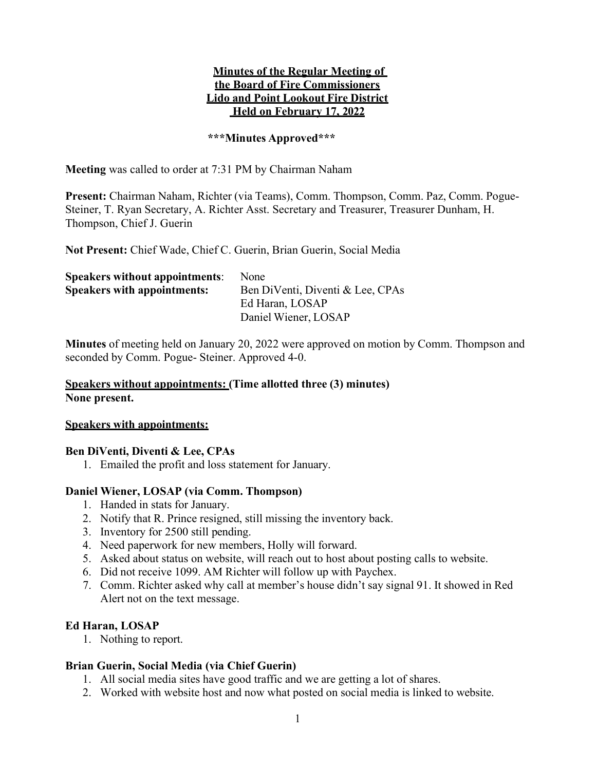### Minutes of the Regular Meeting of the Board of Fire Commissioners Lido and Point Lookout Fire District Held on February 17, 2022

### \*\*\*Minutes Approved\*\*\*

Meeting was called to order at 7:31 PM by Chairman Naham

Present: Chairman Naham, Richter (via Teams), Comm. Thompson, Comm. Paz, Comm. Pogue-Steiner, T. Ryan Secretary, A. Richter Asst. Secretary and Treasurer, Treasurer Dunham, H. Thompson, Chief J. Guerin

Not Present: Chief Wade, Chief C. Guerin, Brian Guerin, Social Media

| <b>None</b>                      |
|----------------------------------|
| Ben DiVenti, Diventi & Lee, CPAs |
| Ed Haran, LOSAP                  |
| Daniel Wiener, LOSAP             |
|                                  |

Minutes of meeting held on January 20, 2022 were approved on motion by Comm. Thompson and seconded by Comm. Pogue- Steiner. Approved 4-0.

### Speakers without appointments: (Time allotted three (3) minutes) None present.

#### Speakers with appointments:

### Ben DiVenti, Diventi & Lee, CPAs

1. Emailed the profit and loss statement for January.

### Daniel Wiener, LOSAP (via Comm. Thompson)

- 1. Handed in stats for January.
- 2. Notify that R. Prince resigned, still missing the inventory back.
- 3. Inventory for 2500 still pending.
- 4. Need paperwork for new members, Holly will forward.
- 5. Asked about status on website, will reach out to host about posting calls to website.
- 6. Did not receive 1099. AM Richter will follow up with Paychex.
- 7. Comm. Richter asked why call at member's house didn't say signal 91. It showed in Red Alert not on the text message.

### Ed Haran, LOSAP

1. Nothing to report.

### Brian Guerin, Social Media (via Chief Guerin)

- 1. All social media sites have good traffic and we are getting a lot of shares.
- 2. Worked with website host and now what posted on social media is linked to website.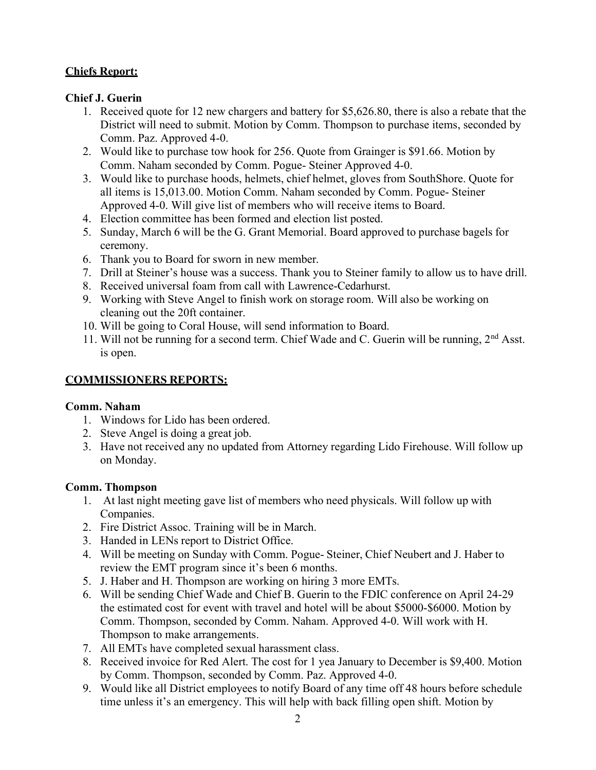## Chiefs Report:

## Chief J. Guerin

- 1. Received quote for 12 new chargers and battery for \$5,626.80, there is also a rebate that the District will need to submit. Motion by Comm. Thompson to purchase items, seconded by Comm. Paz. Approved 4-0.
- 2. Would like to purchase tow hook for 256. Quote from Grainger is \$91.66. Motion by Comm. Naham seconded by Comm. Pogue- Steiner Approved 4-0.
- 3. Would like to purchase hoods, helmets, chief helmet, gloves from SouthShore. Quote for all items is 15,013.00. Motion Comm. Naham seconded by Comm. Pogue- Steiner Approved 4-0. Will give list of members who will receive items to Board.
- 4. Election committee has been formed and election list posted.
- 5. Sunday, March 6 will be the G. Grant Memorial. Board approved to purchase bagels for ceremony.
- 6. Thank you to Board for sworn in new member.
- 7. Drill at Steiner's house was a success. Thank you to Steiner family to allow us to have drill.
- 8. Received universal foam from call with Lawrence-Cedarhurst.
- 9. Working with Steve Angel to finish work on storage room. Will also be working on cleaning out the 20ft container.
- 10. Will be going to Coral House, will send information to Board.
- 11. Will not be running for a second term. Chief Wade and C. Guerin will be running,  $2<sup>nd</sup>$  Asst. is open.

# COMMISSIONERS REPORTS:

## Comm. Naham

- 1. Windows for Lido has been ordered.
- 2. Steve Angel is doing a great job.
- 3. Have not received any no updated from Attorney regarding Lido Firehouse. Will follow up on Monday.

## Comm. Thompson

- 1. At last night meeting gave list of members who need physicals. Will follow up with Companies.
- 2. Fire District Assoc. Training will be in March.
- 3. Handed in LENs report to District Office.
- 4. Will be meeting on Sunday with Comm. Pogue- Steiner, Chief Neubert and J. Haber to review the EMT program since it's been 6 months.
- 5. J. Haber and H. Thompson are working on hiring 3 more EMTs.
- 6. Will be sending Chief Wade and Chief B. Guerin to the FDIC conference on April 24-29 the estimated cost for event with travel and hotel will be about \$5000-\$6000. Motion by Comm. Thompson, seconded by Comm. Naham. Approved 4-0. Will work with H. Thompson to make arrangements.
- 7. All EMTs have completed sexual harassment class.
- 8. Received invoice for Red Alert. The cost for 1 yea January to December is \$9,400. Motion by Comm. Thompson, seconded by Comm. Paz. Approved 4-0.
- 9. Would like all District employees to notify Board of any time off 48 hours before schedule time unless it's an emergency. This will help with back filling open shift. Motion by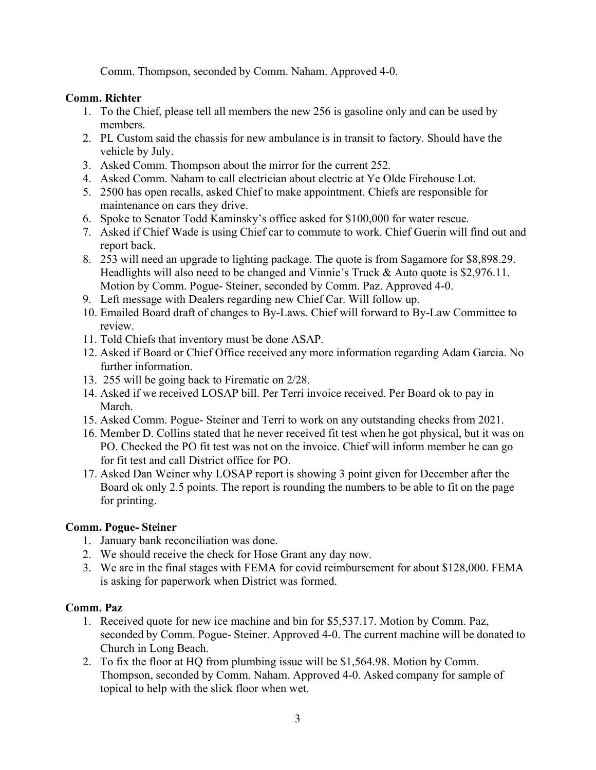Comm. Thompson, seconded by Comm. Naham. Approved 4-0.

## Comm. Richter

- 1. To the Chief, please tell all members the new 256 is gasoline only and can be used by members.
- 2. PL Custom said the chassis for new ambulance is in transit to factory. Should have the vehicle by July.
- 3. Asked Comm. Thompson about the mirror for the current 252.
- 4. Asked Comm. Naham to call electrician about electric at Ye Olde Firehouse Lot.
- 5. 2500 has open recalls, asked Chief to make appointment. Chiefs are responsible for maintenance on cars they drive.
- 6. Spoke to Senator Todd Kaminsky's office asked for \$100,000 for water rescue.
- 7. Asked if Chief Wade is using Chief car to commute to work. Chief Guerin will find out and report back.
- 8. 253 will need an upgrade to lighting package. The quote is from Sagamore for \$8,898.29. Headlights will also need to be changed and Vinnie's Truck & Auto quote is \$2,976.11. Motion by Comm. Pogue- Steiner, seconded by Comm. Paz. Approved 4-0.
- 9. Left message with Dealers regarding new Chief Car. Will follow up.
- 10. Emailed Board draft of changes to By-Laws. Chief will forward to By-Law Committee to review.
- 11. Told Chiefs that inventory must be done ASAP.
- 12. Asked if Board or Chief Office received any more information regarding Adam Garcia. No further information.
- 13. 255 will be going back to Firematic on 2/28.
- 14. Asked if we received LOSAP bill. Per Terri invoice received. Per Board ok to pay in March.
- 15. Asked Comm. Pogue- Steiner and Terri to work on any outstanding checks from 2021.
- 16. Member D. Collins stated that he never received fit test when he got physical, but it was on PO. Checked the PO fit test was not on the invoice. Chief will inform member he can go for fit test and call District office for PO.
- 17. Asked Dan Weiner why LOSAP report is showing 3 point given for December after the Board ok only 2.5 points. The report is rounding the numbers to be able to fit on the page for printing.

## Comm. Pogue- Steiner

- 1. January bank reconciliation was done.
- 2. We should receive the check for Hose Grant any day now.
- 3. We are in the final stages with FEMA for covid reimbursement for about \$128,000. FEMA is asking for paperwork when District was formed.

## Comm. Paz

- 1. Received quote for new ice machine and bin for \$5,537.17. Motion by Comm. Paz, seconded by Comm. Pogue- Steiner. Approved 4-0. The current machine will be donated to Church in Long Beach.
- 2. To fix the floor at HQ from plumbing issue will be \$1,564.98. Motion by Comm. Thompson, seconded by Comm. Naham. Approved 4-0. Asked company for sample of topical to help with the slick floor when wet.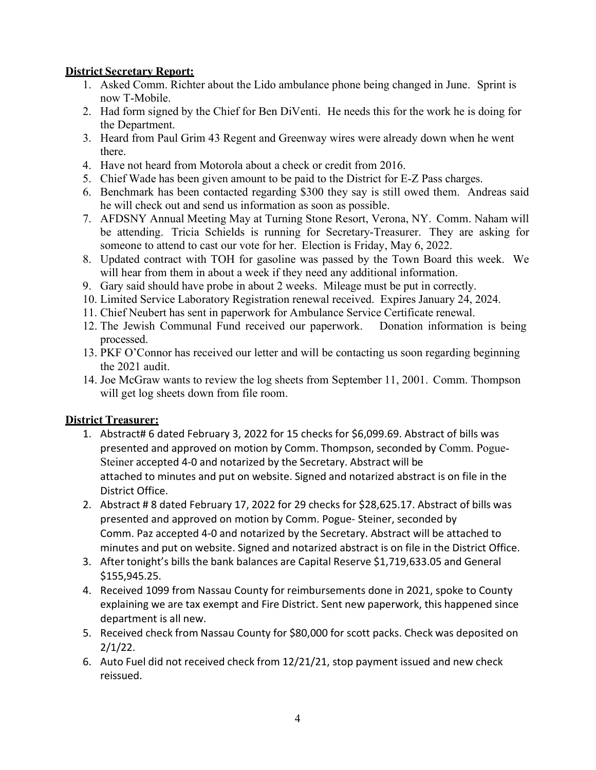## District Secretary Report:

- 1. Asked Comm. Richter about the Lido ambulance phone being changed in June. Sprint is now T-Mobile.
- 2. Had form signed by the Chief for Ben DiVenti. He needs this for the work he is doing for the Department.
- 3. Heard from Paul Grim 43 Regent and Greenway wires were already down when he went there.
- 4. Have not heard from Motorola about a check or credit from 2016.
- 5. Chief Wade has been given amount to be paid to the District for E-Z Pass charges.
- 6. Benchmark has been contacted regarding \$300 they say is still owed them. Andreas said he will check out and send us information as soon as possible.
- 7. AFDSNY Annual Meeting May at Turning Stone Resort, Verona, NY. Comm. Naham will be attending. Tricia Schields is running for Secretary-Treasurer. They are asking for someone to attend to cast our vote for her. Election is Friday, May 6, 2022.
- 8. Updated contract with TOH for gasoline was passed by the Town Board this week. We will hear from them in about a week if they need any additional information.
- 9. Gary said should have probe in about 2 weeks. Mileage must be put in correctly.
- 10. Limited Service Laboratory Registration renewal received. Expires January 24, 2024.
- 11. Chief Neubert has sent in paperwork for Ambulance Service Certificate renewal.
- 12. The Jewish Communal Fund received our paperwork. Donation information is being processed.
- 13. PKF O'Connor has received our letter and will be contacting us soon regarding beginning the 2021 audit.
- 14. Joe McGraw wants to review the log sheets from September 11, 2001. Comm. Thompson will get log sheets down from file room.

## District Treasurer:

- 1. Abstract# 6 dated February 3, 2022 for 15 checks for \$6,099.69. Abstract of bills was presented and approved on motion by Comm. Thompson, seconded by Comm. Pogue-Steiner accepted 4‐0 and notarized by the Secretary. Abstract will be attached to minutes and put on website. Signed and notarized abstract is on file in the District Office.
- 2. Abstract # 8 dated February 17, 2022 for 29 checks for \$28,625.17. Abstract of bills was presented and approved on motion by Comm. Pogue‐ Steiner, seconded by Comm. Paz accepted 4‐0 and notarized by the Secretary. Abstract will be attached to minutes and put on website. Signed and notarized abstract is on file in the District Office.
- 3. After tonight's bills the bank balances are Capital Reserve \$1,719,633.05 and General \$155,945.25.
- 4. Received 1099 from Nassau County for reimbursements done in 2021, spoke to County explaining we are tax exempt and Fire District. Sent new paperwork, this happened since department is all new.
- 5. Received check from Nassau County for \$80,000 for scott packs. Check was deposited on 2/1/22.
- 6. Auto Fuel did not received check from 12/21/21, stop payment issued and new check reissued.